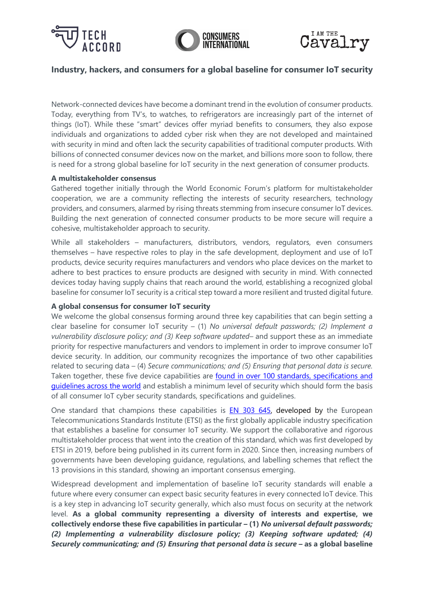





## **Industry, hackers, and consumers for a global baseline for consumer IoT security**

Network-connected devices have become a dominant trend in the evolution of consumer products. Today, everything from TV's, to watches, to refrigerators are increasingly part of the internet of things (IoT). While these "smart" devices offer myriad benefits to consumers, they also expose individuals and organizations to added cyber risk when they are not developed and maintained with security in mind and often lack the security capabilities of traditional computer products. With billions of connected consumer devices now on the market, and billions more soon to follow, there is need for a strong global baseline for IoT security in the next generation of consumer products.

## **A multistakeholder consensus**

Gathered together initially through the World Economic Forum's platform for multistakeholder cooperation, we are a community reflecting the interests of security researchers, technology providers, and consumers, alarmed by rising threats stemming from insecure consumer IoT devices. Building the next generation of connected consumer products to be more secure will require a cohesive, multistakeholder approach to security.

While all stakeholders – manufacturers, distributors, vendors, regulators, even consumers themselves – have respective roles to play in the safe development, deployment and use of IoT products, device security requires manufacturers and vendors who place devices on the market to adhere to best practices to ensure products are designed with security in mind. With connected devices today having supply chains that reach around the world, establishing a recognized global baseline for consumer IoT security is a critical step toward a more resilient and trusted digital future.

## **A global consensus for consumer IoT security**

We welcome the global consensus forming around three key capabilities that can begin setting a clear baseline for consumer IoT security – (1) *No universal default passwords; (2) Implement a vulnerability disclosure policy; and (3) Keep software updated–* and support these as an immediate priority for respective manufacturers and vendors to implement in order to improve consumer IoT device security. In addition, our community recognizes the importance of two other capabilities related to securing data – (4) *Secure communications; and (5) Ensuring that personal data is secure.*  Taken together, these five device capabilities are found in over 100 standards, specifications and [guidelines across the world](https://iotsecuritymapping.com/) and establish a minimum level of security which should form the basis of all consumer IoT cyber security standards, specifications and guidelines.

One standard that champions these capabilities is **[EN 303 645,](https://www.etsi.org/deliver/etsi_en/303600_303699/303645/02.01.01_60/en_303645v020101p.pdf) developed by** the European Telecommunications Standards Institute (ETSI) as the first globally applicable industry specification that establishes a baseline for consumer IoT security. We support the collaborative and rigorous multistakeholder process that went into the creation of this standard, which was first developed by ETSI in 2019, before being published in its current form in 2020. Since then, increasing numbers of governments have been developing guidance, regulations, and labelling schemes that reflect the 13 provisions in this standard, showing an important consensus emerging.

Widespread development and implementation of baseline IoT security standards will enable a future where every consumer can expect basic security features in every connected IoT device. This is a key step in advancing IoT security generally, which also must focus on security at the network level. **As a global community representing a diversity of interests and expertise, we collectively endorse these five capabilities in particular – (1)** *No universal default passwords; (2) Implementing a vulnerability disclosure policy; (3) Keeping software updated; (4) Securely communicating; and (5) Ensuring that personal data is secure –* **as a global baseline**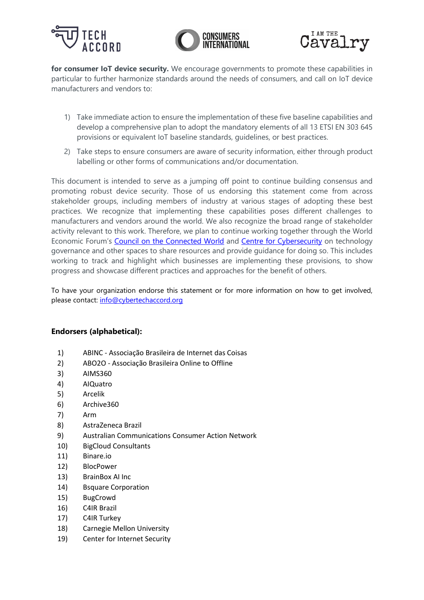





**for consumer IoT device security.** We encourage governments to promote these capabilities in particular to further harmonize standards around the needs of consumers, and call on IoT device manufacturers and vendors to:

- 1) Take immediate action to ensure the implementation of these five baseline capabilities and develop a comprehensive plan to adopt the mandatory elements of all 13 ETSI EN 303 645 provisions or equivalent IoT baseline standards, guidelines, or best practices.
- 2) Take steps to ensure consumers are aware of security information, either through product labelling or other forms of communications and/or documentation.

This document is intended to serve as a jumping off point to continue building consensus and promoting robust device security. Those of us endorsing this statement come from across stakeholder groups, including members of industry at various stages of adopting these best practices. We recognize that implementing these capabilities poses different challenges to manufacturers and vendors around the world. We also recognize the broad range of stakeholder activity relevant to this work. Therefore, we plan to continue working together through the World Economic Forum's [Council on the Connected World](https://www.weforum.org/connectedworld/about) and [Centre for Cybersecurity](https://www.weforum.org/platforms/the-centre-for-cybersecurity) on technology governance and other spaces to share resources and provide guidance for doing so. This includes working to track and highlight which businesses are implementing these provisions, to show progress and showcase different practices and approaches for the benefit of others.

To have your organization endorse this statement or for more information on how to get involved, please contact: [info@cybertechaccord.org](mailto:info@cybertechaccord.org)

## **Endorsers (alphabetical):**

- 1) ABINC Associação Brasileira de Internet das Coisas
- 2) ABO2O Associação Brasileira Online to Offline
- 3) AIMS360
- 4) AIQuatro
- 5) Arcelik
- 6) Archive360
- 7) Arm
- 8) AstraZeneca Brazil
- 9) Australian Communications Consumer Action Network
- 10) BigCloud Consultants
- 11) Binare.io
- 12) BlocPower
- 13) BrainBox AI Inc
- 14) Bsquare Corporation
- 15) BugCrowd
- 16) C4IR Brazil
- 17) C4IR Turkey
- 18) Carnegie Mellon University
- 19) Center for Internet Security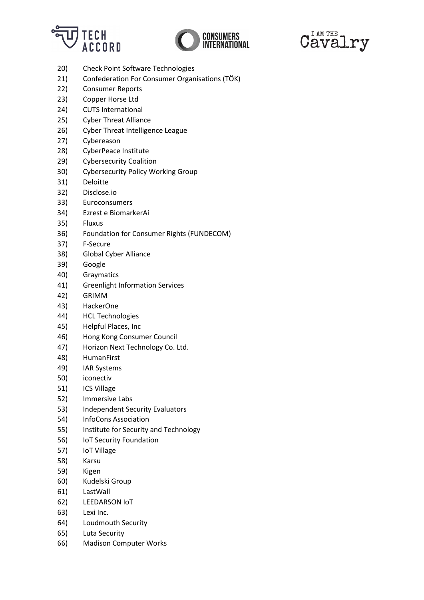





- 20) Check Point Software Technologies
- 21) Confederation For Consumer Organisations (TÖK)
- 22) Consumer Reports
- 23) Copper Horse Ltd
- 24) CUTS International
- 25) Cyber Threat Alliance
- 26) Cyber Threat Intelligence League
- 27) Cybereason
- 28) CyberPeace Institute
- 29) Cybersecurity Coalition
- 30) Cybersecurity Policy Working Group
- 31) Deloitte
- 32) Disclose.io
- 33) Euroconsumers
- 34) Ezrest e BiomarkerAi
- 35) Fluxus
- 36) Foundation for Consumer Rights (FUNDECOM)
- 37) F-Secure
- 38) Global Cyber Alliance
- 39) Google
- 40) Graymatics
- 41) Greenlight Information Services
- 42) GRIMM
- 43) HackerOne
- 44) HCL Technologies
- 45) Helpful Places, Inc
- 46) Hong Kong Consumer Council
- 47) Horizon Next Technology Co. Ltd.
- 48) HumanFirst
- 49) IAR Systems
- 50) iconectiv
- 51) ICS Village
- 52) Immersive Labs
- 53) Independent Security Evaluators
- 54) InfoCons Association
- 55) Institute for Security and Technology
- 56) IoT Security Foundation
- 57) IoT Village
- 58) Karsu
- 59) Kigen
- 60) Kudelski Group
- 61) LastWall
- 62) LEEDARSON IoT
- 63) Lexi Inc.
- 64) Loudmouth Security
- 65) Luta Security
- 66) Madison Computer Works